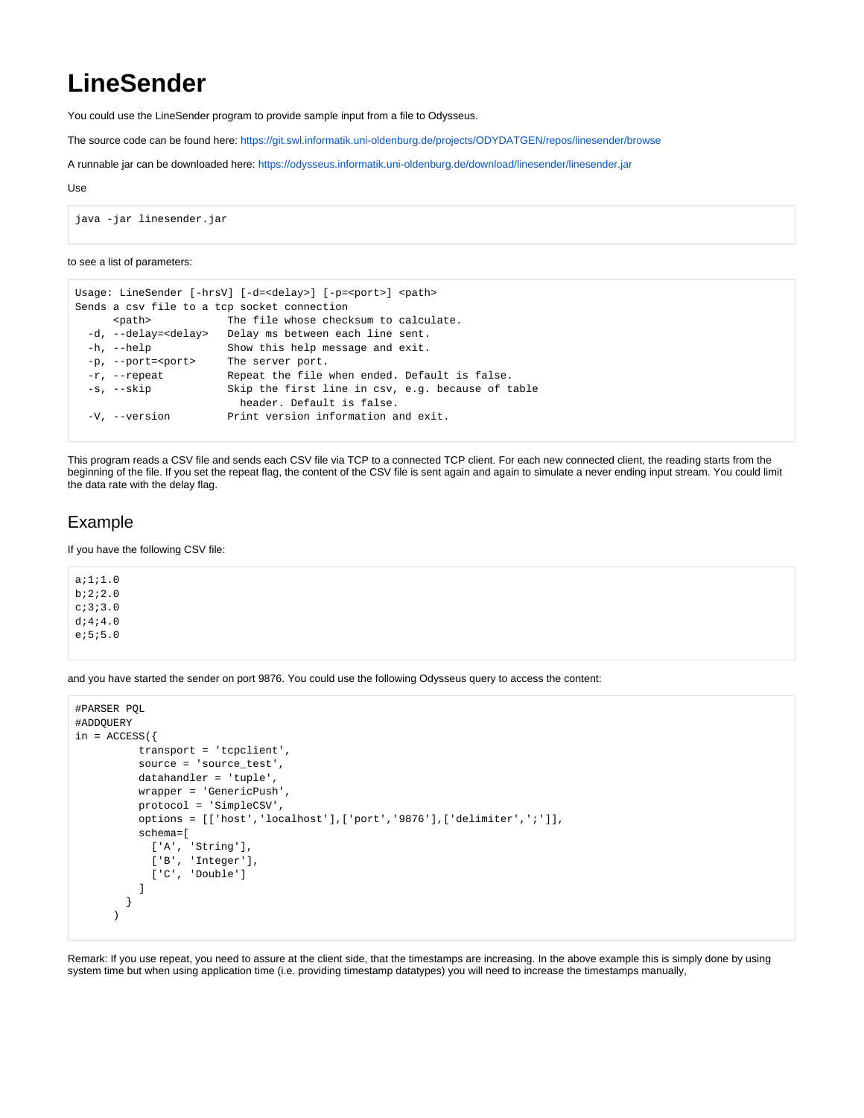## **LineSender**

You could use the LineSender program to provide sample input from a file to Odysseus.

The source code can be found here: <https://git.swl.informatik.uni-oldenburg.de/projects/ODYDATGEN/repos/linesender/browse>

A runnable jar can be downloaded here: [https://odysseus.informatik.uni-oldenburg.de/download/linesender/linesender.jar](https://odysseus.informatik.uni-oldenburg.de/download/linesender/linesender-0.0.1-SNAPSHOT-jar-with-dependencies.jar)

## Use

```
java -jar linesender.jar
```
## to see a list of parameters:

```
Usage: LineSender [-hrsV] [-d=<delay>] [-p=<port>] <path>
Sends a csv file to a tcp socket connection
      <path> The file whose checksum to calculate.
 -d, --delay=<delay> Delay ms between each line sent.<br>-h, --help Show this help message and exit.
                       Show this help message and exit.
  -p, --port=<port> The server port.
  -r, --repeat Repeat the file when ended. Default is false.
  -s, --skip Skip the first line in csv, e.g. because of table
                          header. Default is false.
  -V, --version Print version information and exit.
```
This program reads a CSV file and sends each CSV file via TCP to a connected TCP client. For each new connected client, the reading starts from the beginning of the file. If you set the repeat flag, the content of the CSV file is sent again and again to simulate a never ending input stream. You could limit the data rate with the delay flag.

## Example

If you have the following CSV file:

a;1;1.0 b;2;2.0 c;3;3.0 d;4;4.0 e;5;5.0

and you have started the sender on port 9876. You could use the following Odysseus query to access the content:

```
#PARSER PQL
#ADDQUERY
in = ACCESS({
          transport = 'tcpclient',
          source = 'source_test',
          datahandler = 'tuple',
          wrapper = 'GenericPush',
          protocol = 'SimpleCSV',
           options = [['host','localhost'],['port','9876'],['delimiter',';']],
           schema=[
            ['A', 'String'],
            ['B', 'Integer'],
            ['C', 'Double']
 ] 
        } 
       )
```
Remark: If you use repeat, you need to assure at the client side, that the timestamps are increasing. In the above example this is simply done by using system time but when using application time (i.e. providing timestamp datatypes) you will need to increase the timestamps manually,